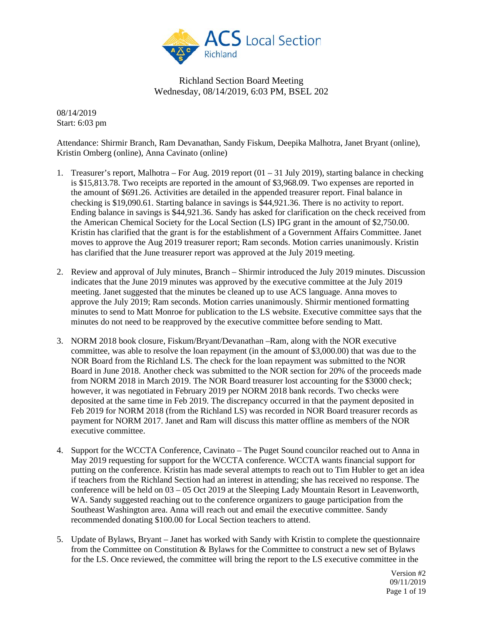

08/14/2019 Start: 6:03 pm

Attendance: Shirmir Branch, Ram Devanathan, Sandy Fiskum, Deepika Malhotra, Janet Bryant (online), Kristin Omberg (online), Anna Cavinato (online)

- 1. Treasurer's report, Malhotra For Aug. 2019 report (01 31 July 2019), starting balance in checking is \$15,813.78. Two receipts are reported in the amount of \$3,968.09. Two expenses are reported in the amount of \$691.26. Activities are detailed in the appended treasurer report. Final balance in checking is \$19,090.61. Starting balance in savings is \$44,921.36. There is no activity to report. Ending balance in savings is \$44,921.36. Sandy has asked for clarification on the check received from the American Chemical Society for the Local Section (LS) IPG grant in the amount of \$2,750.00. Kristin has clarified that the grant is for the establishment of a Government Affairs Committee. Janet moves to approve the Aug 2019 treasurer report; Ram seconds. Motion carries unanimously. Kristin has clarified that the June treasurer report was approved at the July 2019 meeting.
- 2. Review and approval of July minutes, Branch Shirmir introduced the July 2019 minutes. Discussion indicates that the June 2019 minutes was approved by the executive committee at the July 2019 meeting. Janet suggested that the minutes be cleaned up to use ACS language. Anna moves to approve the July 2019; Ram seconds. Motion carries unanimously. Shirmir mentioned formatting minutes to send to Matt Monroe for publication to the LS website. Executive committee says that the minutes do not need to be reapproved by the executive committee before sending to Matt.
- 3. NORM 2018 book closure, Fiskum/Bryant/Devanathan –Ram, along with the NOR executive committee, was able to resolve the loan repayment (in the amount of \$3,000.00) that was due to the NOR Board from the Richland LS. The check for the loan repayment was submitted to the NOR Board in June 2018. Another check was submitted to the NOR section for 20% of the proceeds made from NORM 2018 in March 2019. The NOR Board treasurer lost accounting for the \$3000 check; however, it was negotiated in February 2019 per NORM 2018 bank records. Two checks were deposited at the same time in Feb 2019. The discrepancy occurred in that the payment deposited in Feb 2019 for NORM 2018 (from the Richland LS) was recorded in NOR Board treasurer records as payment for NORM 2017. Janet and Ram will discuss this matter offline as members of the NOR executive committee.
- 4. Support for the WCCTA Conference, Cavinato The Puget Sound councilor reached out to Anna in May 2019 requesting for support for the WCCTA conference. WCCTA wants financial support for putting on the conference. Kristin has made several attempts to reach out to Tim Hubler to get an idea if teachers from the Richland Section had an interest in attending; she has received no response. The conference will be held on 03 – 05 Oct 2019 at the Sleeping Lady Mountain Resort in Leavenworth, WA. Sandy suggested reaching out to the conference organizers to gauge participation from the Southeast Washington area. Anna will reach out and email the executive committee. Sandy recommended donating \$100.00 for Local Section teachers to attend.
- 5. Update of Bylaws, Bryant Janet has worked with Sandy with Kristin to complete the questionnaire from the Committee on Constitution & Bylaws for the Committee to construct a new set of Bylaws for the LS. Once reviewed, the committee will bring the report to the LS executive committee in the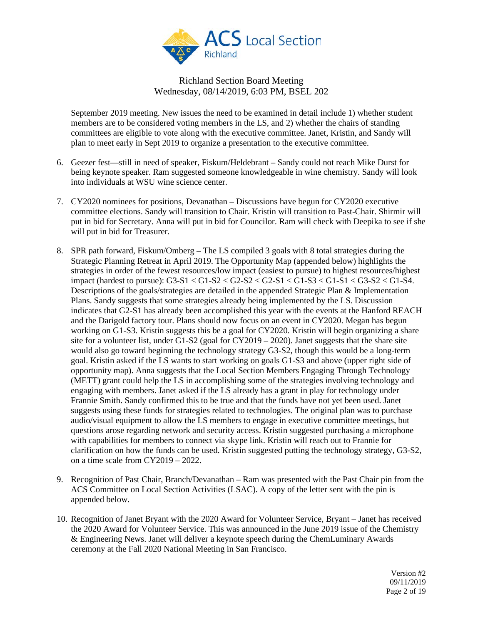

September 2019 meeting. New issues the need to be examined in detail include 1) whether student members are to be considered voting members in the LS, and 2) whether the chairs of standing committees are eligible to vote along with the executive committee. Janet, Kristin, and Sandy will plan to meet early in Sept 2019 to organize a presentation to the executive committee.

- 6. Geezer fest—still in need of speaker, Fiskum/Heldebrant Sandy could not reach Mike Durst for being keynote speaker. Ram suggested someone knowledgeable in wine chemistry. Sandy will look into individuals at WSU wine science center.
- 7. CY2020 nominees for positions, Devanathan Discussions have begun for CY2020 executive committee elections. Sandy will transition to Chair. Kristin will transition to Past-Chair. Shirmir will put in bid for Secretary. Anna will put in bid for Councilor. Ram will check with Deepika to see if she will put in bid for Treasurer.
- 8. SPR path forward, Fiskum/Omberg The LS compiled 3 goals with 8 total strategies during the Strategic Planning Retreat in April 2019. The Opportunity Map (appended below) highlights the strategies in order of the fewest resources/low impact (easiest to pursue) to highest resources/highest impact (hardest to pursue):  $G3-S1 < G1-S2 < G2-S2 < G2-S1 < G1-S3 < G1-S1 < G3-S2 < G1-S4$ . Descriptions of the goals/strategies are detailed in the appended Strategic Plan & Implementation Plans. Sandy suggests that some strategies already being implemented by the LS. Discussion indicates that G2-S1 has already been accomplished this year with the events at the Hanford REACH and the Darigold factory tour. Plans should now focus on an event in CY2020. Megan has begun working on G1-S3. Kristin suggests this be a goal for CY2020. Kristin will begin organizing a share site for a volunteer list, under  $G1-S2$  (goal for  $CY2019 - 2020$ ). Janet suggests that the share site would also go toward beginning the technology strategy G3-S2, though this would be a long-term goal. Kristin asked if the LS wants to start working on goals G1-S3 and above (upper right side of opportunity map). Anna suggests that the Local Section Members Engaging Through Technology (METT) grant could help the LS in accomplishing some of the strategies involving technology and engaging with members. Janet asked if the LS already has a grant in play for technology under Frannie Smith. Sandy confirmed this to be true and that the funds have not yet been used. Janet suggests using these funds for strategies related to technologies. The original plan was to purchase audio/visual equipment to allow the LS members to engage in executive committee meetings, but questions arose regarding network and security access. Kristin suggested purchasing a microphone with capabilities for members to connect via skype link. Kristin will reach out to Frannie for clarification on how the funds can be used. Kristin suggested putting the technology strategy, G3-S2, on a time scale from CY2019 – 2022.
- 9. Recognition of Past Chair, Branch/Devanathan Ram was presented with the Past Chair pin from the ACS Committee on Local Section Activities (LSAC). A copy of the letter sent with the pin is appended below.
- 10. Recognition of Janet Bryant with the 2020 Award for Volunteer Service, Bryant Janet has received the 2020 Award for Volunteer Service. This was announced in the June 2019 issue of the Chemistry & Engineering News. Janet will deliver a keynote speech during the ChemLuminary Awards ceremony at the Fall 2020 National Meeting in San Francisco.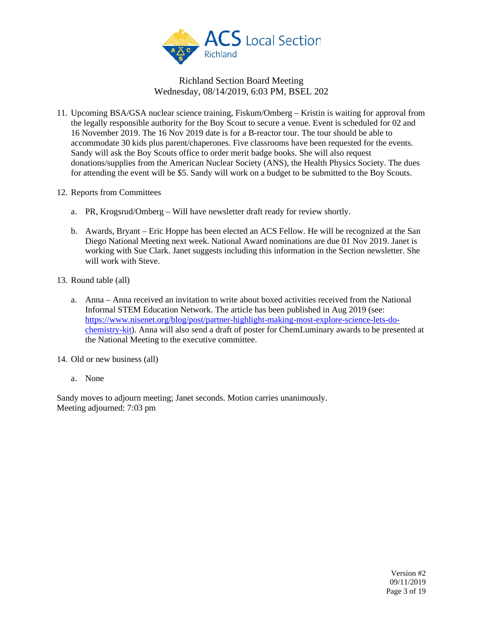

- 11. Upcoming BSA/GSA nuclear science training, Fiskum/Omberg Kristin is waiting for approval from the legally responsible authority for the Boy Scout to secure a venue. Event is scheduled for 02 and 16 November 2019. The 16 Nov 2019 date is for a B-reactor tour. The tour should be able to accommodate 30 kids plus parent/chaperones. Five classrooms have been requested for the events. Sandy will ask the Boy Scouts office to order merit badge books. She will also request donations/supplies from the American Nuclear Society (ANS), the Health Physics Society. The dues for attending the event will be \$5. Sandy will work on a budget to be submitted to the Boy Scouts.
- 12. Reports from Committees
	- a. PR, Krogsrud/Omberg Will have newsletter draft ready for review shortly.
	- b. Awards, Bryant Eric Hoppe has been elected an ACS Fellow. He will be recognized at the San Diego National Meeting next week. National Award nominations are due 01 Nov 2019. Janet is working with Sue Clark. Janet suggests including this information in the Section newsletter. She will work with Steve.

13. Round table (all)

a. Anna – Anna received an invitation to write about boxed activities received from the National Informal STEM Education Network. The article has been published in Aug 2019 (see: [https://www.nisenet.org/blog/post/partner-highlight-making-most-explore-science-lets-do](https://www.nisenet.org/blog/post/partner-highlight-making-most-explore-science-lets-do-chemistry-kit)[chemistry-kit\)](https://www.nisenet.org/blog/post/partner-highlight-making-most-explore-science-lets-do-chemistry-kit). Anna will also send a draft of poster for ChemLuminary awards to be presented at the National Meeting to the executive committee.

14. Old or new business (all)

a. None

Sandy moves to adjourn meeting; Janet seconds. Motion carries unanimously. Meeting adjourned: 7:03 pm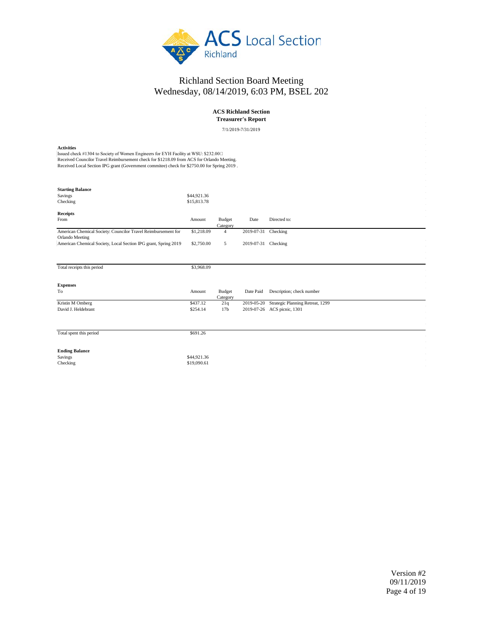

#### **ACS Richland Section Treasurer's Report**

7/1/2019-7/31/2019

#### **Activities**

Issued check #1304 to Society of Women Engineers for EYH Facility at WSU: \$232.00 Received Councilor Travel Reimbursement check for \$1218.09 from ACS for Orlando Meeting. Received Local Section IPG grant (Government commitee) check for \$2750.00 for Spring 2019 .

| <b>Starting Balance</b><br>Savings<br>Checking                                   | \$44,921.36<br>\$15,813.78 |                           |            |                                  |
|----------------------------------------------------------------------------------|----------------------------|---------------------------|------------|----------------------------------|
| Receipts                                                                         |                            |                           |            |                                  |
| From                                                                             | Amount                     | <b>Budget</b><br>Category | Date       | Directed to:                     |
| American Chemical Society: Councilor Travel Reimbursement for<br>Orlando Meeting | \$1,218.09                 | 4                         | 2019-07-31 | Checking                         |
| American Chemical Society, Local Section IPG grant, Spring 2019                  | \$2,750.00                 | 5                         | 2019-07-31 | Checking                         |
|                                                                                  |                            |                           |            |                                  |
| Total receipts this period                                                       | \$3,968.09                 |                           |            |                                  |
| <b>Expenses</b>                                                                  |                            |                           |            |                                  |
| To                                                                               | Amount                     | Budget<br>Category        | Date Paid  | Description; check number        |
| Kristin M Omberg                                                                 | \$437.12                   | 21q                       | 2019-05-20 | Strategic Planning Retreat, 1299 |
| David J. Heldebrant                                                              | \$254.14                   | 17 <sub>b</sub>           |            | 2019-07-26 ACS picnic, 1301      |
|                                                                                  |                            |                           |            |                                  |
| Total spent this period                                                          | \$691.26                   |                           |            |                                  |
| <b>Ending Balance</b>                                                            |                            |                           |            |                                  |
| Savings                                                                          | \$44,921.36                |                           |            |                                  |
| Checking                                                                         | \$19,090.61                |                           |            |                                  |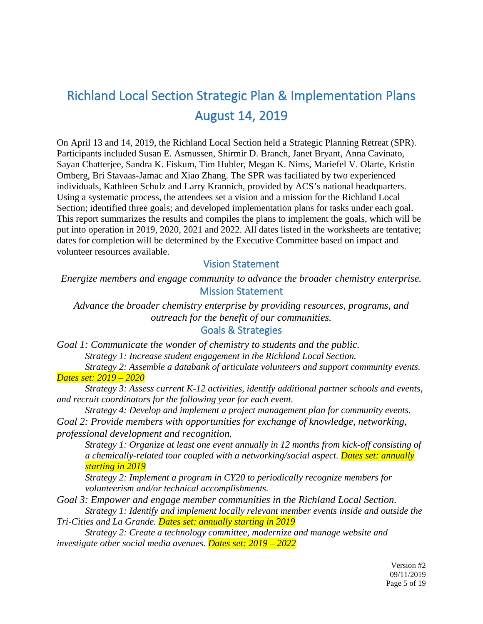# Richland Local Section Strategic Plan & Implementation Plans August 14, 2019

On April 13 and 14, 2019, the Richland Local Section held a Strategic Planning Retreat (SPR). Participants included Susan E. Asmussen, Shirmir D. Branch, Janet Bryant, Anna Cavinato, Sayan Chatterjee, Sandra K. Fiskum, Tim Hubler, Megan K. Nims, Mariefel V. Olarte, Kristin Omberg, Bri Stavaas-Jamac and Xiao Zhang. The SPR was faciliated by two experienced individuals, Kathleen Schulz and Larry Krannich, provided by ACS's national headquarters. Using a systematic process, the attendees set a vision and a mission for the Richland Local Section; identified three goals; and developed implementation plans for tasks under each goal. This report summarizes the results and compiles the plans to implement the goals, which will be put into operation in 2019, 2020, 2021 and 2022. All dates listed in the worksheets are tentative; dates for completion will be determined by the Executive Committee based on impact and volunteer resources available.

### Vision Statement

*Energize members and engage community to advance the broader chemistry enterprise.* Mission Statement

*Advance the broader chemistry enterprise by providing resources, programs, and outreach for the benefit of our communities.*

## Goals & Strategies

*Goal 1: Communicate the wonder of chemistry to students and the public.*

*Strategy 1: Increase student engagement in the Richland Local Section.*

*Strategy 2: Assemble a databank of articulate volunteers and support community events. Dates set: 2019 – 2020*

*Strategy 3: Assess current K-12 activities, identify additional partner schools and events, and recruit coordinators for the following year for each event.*

*Strategy 4: Develop and implement a project management plan for community events. Goal 2: Provide members with opportunities for exchange of knowledge, networking, professional development and recognition.*

*Strategy 1: Organize at least one event annually in 12 months from kick-off consisting of a chemically-related tour coupled with a networking/social aspect. Dates set: annually starting in 2019* 

*Strategy 2: Implement a program in CY20 to periodically recognize members for volunteerism and/or technical accomplishments.*

*Goal 3: Empower and engage member communities in the Richland Local Section. Strategy 1: Identify and implement locally relevant member events inside and outside the*

*Tri-Cities and La Grande. Dates set: annually starting in 2019* 

*Strategy 2: Create a technology committee, modernize and manage website and investigate other social media avenues. Dates set: 2019 – 2022*

> Version #2 09/11/2019 Page 5 of 19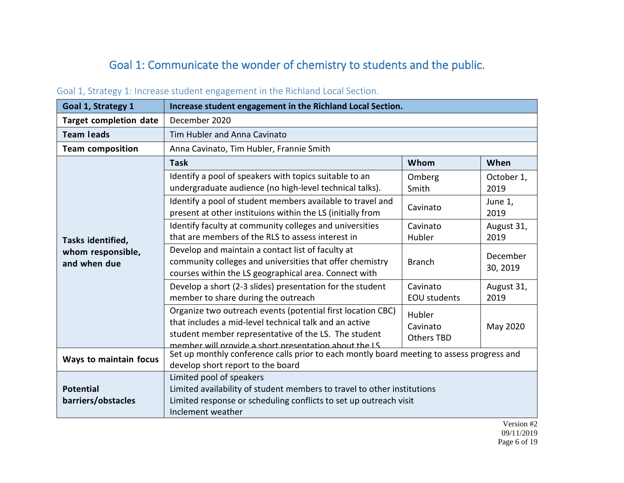# Goal 1: Communicate the wonder of chemistry to students and the public.

| Goal 1, Strategy 1                                     | Increase student engagement in the Richland Local Section.                                                                                                                                                                             |                                                     |                      |
|--------------------------------------------------------|----------------------------------------------------------------------------------------------------------------------------------------------------------------------------------------------------------------------------------------|-----------------------------------------------------|----------------------|
| <b>Target completion date</b>                          | December 2020                                                                                                                                                                                                                          |                                                     |                      |
| <b>Team leads</b>                                      | Tim Hubler and Anna Cavinato                                                                                                                                                                                                           |                                                     |                      |
| <b>Team composition</b>                                | Anna Cavinato, Tim Hubler, Frannie Smith                                                                                                                                                                                               |                                                     |                      |
|                                                        | <b>Task</b>                                                                                                                                                                                                                            | Whom                                                | When                 |
| Tasks identified,<br>whom responsible,<br>and when due | Identify a pool of speakers with topics suitable to an<br>undergraduate audience (no high-level technical talks).                                                                                                                      | Omberg<br>Smith                                     | October 1,<br>2019   |
|                                                        | Identify a pool of student members available to travel and<br>present at other instituions within the LS (initially from                                                                                                               | Cavinato                                            | June 1,<br>2019      |
|                                                        | Identify faculty at community colleges and universities<br>that are members of the RLS to assess interest in                                                                                                                           | Cavinato<br>Hubler                                  | August 31,<br>2019   |
|                                                        | Develop and maintain a contact list of faculty at<br>community colleges and universities that offer chemistry<br>courses within the LS geographical area. Connect with                                                                 | <b>Branch</b>                                       | December<br>30, 2019 |
|                                                        | Develop a short (2-3 slides) presentation for the student<br>member to share during the outreach                                                                                                                                       | Cavinato<br><b>EOU</b> students                     | August 31,<br>2019   |
|                                                        | Organize two outreach events (potential first location CBC)<br>that includes a mid-level technical talk and an active<br>student member representative of the LS. The student<br>member will provide a short presentation about the LS | Hubler<br>Cavinato<br>May 2020<br><b>Others TBD</b> |                      |
| Ways to maintain focus                                 | Set up monthly conference calls prior to each montly board meeting to assess progress and<br>develop short report to the board                                                                                                         |                                                     |                      |
| <b>Potential</b><br>barriers/obstacles                 | Limited pool of speakers<br>Limited availability of student members to travel to other institutions<br>Limited response or scheduling conflicts to set up outreach visit<br>Inclement weather                                          |                                                     |                      |

# Goal 1, Strategy 1: Increase student engagement in the Richland Local Section.

Version #2 09/11/2019 Page 6 of 19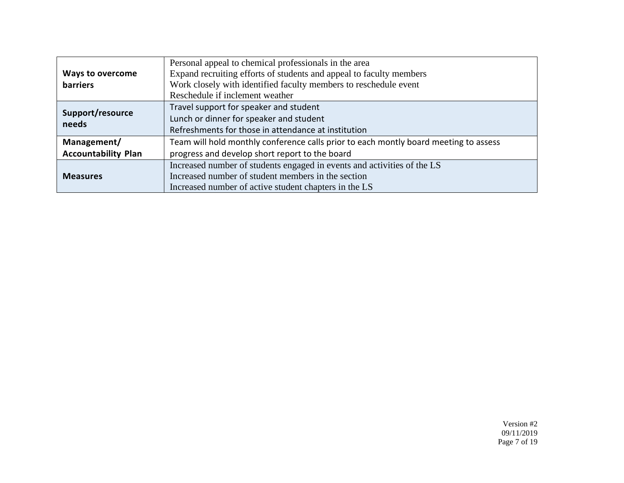|                            | Personal appeal to chemical professionals in the area                                |
|----------------------------|--------------------------------------------------------------------------------------|
| <b>Ways to overcome</b>    | Expand recruiting efforts of students and appeal to faculty members                  |
| barriers                   | Work closely with identified faculty members to reschedule event                     |
|                            | Reschedule if inclement weather                                                      |
|                            | Travel support for speaker and student                                               |
| Support/resource<br>needs  | Lunch or dinner for speaker and student                                              |
|                            | Refreshments for those in attendance at institution                                  |
| Management/                | Team will hold monthly conference calls prior to each montly board meeting to assess |
| <b>Accountability Plan</b> | progress and develop short report to the board                                       |
|                            | Increased number of students engaged in events and activities of the LS              |
| <b>Measures</b>            | Increased number of student members in the section                                   |
|                            | Increased number of active student chapters in the LS                                |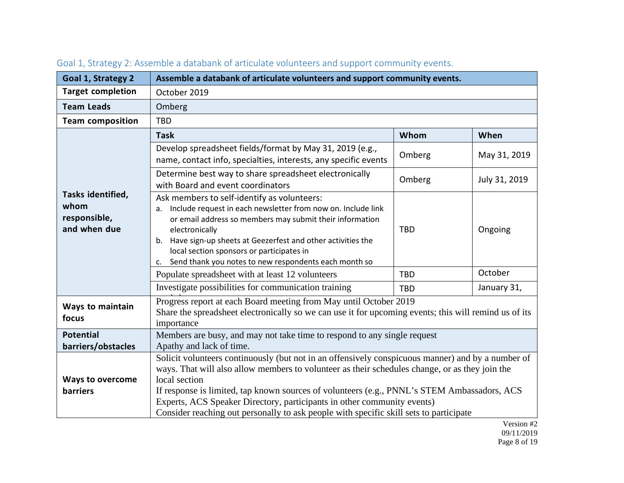| Goal 1, Strategy 2                                        | Assemble a databank of articulate volunteers and support community events.                                                                                                                                                                                                                                                                                                                                                                                                               |            |               |
|-----------------------------------------------------------|------------------------------------------------------------------------------------------------------------------------------------------------------------------------------------------------------------------------------------------------------------------------------------------------------------------------------------------------------------------------------------------------------------------------------------------------------------------------------------------|------------|---------------|
| <b>Target completion</b>                                  | October 2019                                                                                                                                                                                                                                                                                                                                                                                                                                                                             |            |               |
| <b>Team Leads</b>                                         | Omberg                                                                                                                                                                                                                                                                                                                                                                                                                                                                                   |            |               |
| <b>Team composition</b>                                   | <b>TBD</b>                                                                                                                                                                                                                                                                                                                                                                                                                                                                               |            |               |
|                                                           | <b>Task</b>                                                                                                                                                                                                                                                                                                                                                                                                                                                                              | Whom       | When          |
|                                                           | Develop spreadsheet fields/format by May 31, 2019 (e.g.,<br>name, contact info, specialties, interests, any specific events                                                                                                                                                                                                                                                                                                                                                              | Omberg     | May 31, 2019  |
|                                                           | Determine best way to share spreadsheet electronically<br>with Board and event coordinators                                                                                                                                                                                                                                                                                                                                                                                              | Omberg     | July 31, 2019 |
| Tasks identified,<br>whom<br>responsible,<br>and when due | Ask members to self-identify as volunteers:<br>Include request in each newsletter from now on. Include link<br>$a_{-}$<br>or email address so members may submit their information<br>electronically<br>Have sign-up sheets at Geezerfest and other activities the<br>b.<br>local section sponsors or participates in<br>c. Send thank you notes to new respondents each month so                                                                                                        | <b>TBD</b> | Ongoing       |
|                                                           | Populate spreadsheet with at least 12 volunteers                                                                                                                                                                                                                                                                                                                                                                                                                                         | <b>TBD</b> | October       |
|                                                           | Investigate possibilities for communication training                                                                                                                                                                                                                                                                                                                                                                                                                                     | <b>TBD</b> | January 31,   |
| Ways to maintain<br>focus                                 | Progress report at each Board meeting from May until October 2019<br>Share the spreadsheet electronically so we can use it for upcoming events; this will remind us of its<br>importance                                                                                                                                                                                                                                                                                                 |            |               |
| <b>Potential</b>                                          | Members are busy, and may not take time to respond to any single request                                                                                                                                                                                                                                                                                                                                                                                                                 |            |               |
| barriers/obstacles                                        | Apathy and lack of time.                                                                                                                                                                                                                                                                                                                                                                                                                                                                 |            |               |
| <b>Ways to overcome</b><br>barriers                       | Solicit volunteers continuously (but not in an offensively conspicuous manner) and by a number of<br>ways. That will also allow members to volunteer as their schedules change, or as they join the<br>local section<br>If response is limited, tap known sources of volunteers (e.g., PNNL's STEM Ambassadors, ACS<br>Experts, ACS Speaker Directory, participants in other community events)<br>Consider reaching out personally to ask people with specific skill sets to participate |            |               |

# Goal 1, Strategy 2: Assemble a databank of articulate volunteers and support community events.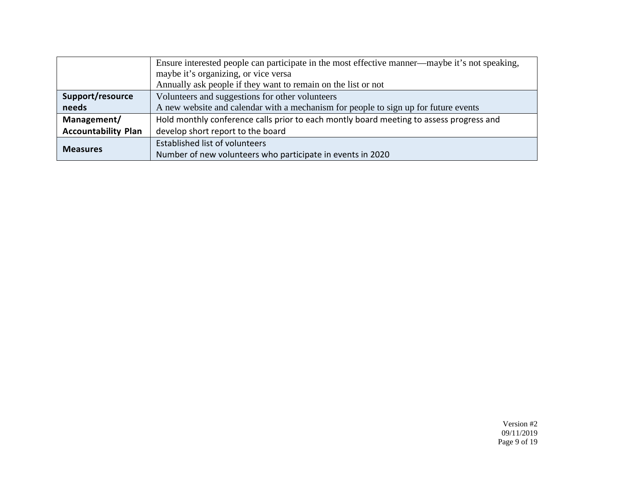|                            | Ensure interested people can participate in the most effective manner—maybe it's not speaking, |  |
|----------------------------|------------------------------------------------------------------------------------------------|--|
|                            | maybe it's organizing, or vice versa                                                           |  |
|                            | Annually ask people if they want to remain on the list or not                                  |  |
| Support/resource           | Volunteers and suggestions for other volunteers                                                |  |
| needs                      | A new website and calendar with a mechanism for people to sign up for future events            |  |
| Management/                | Hold monthly conference calls prior to each montly board meeting to assess progress and        |  |
| <b>Accountability Plan</b> | develop short report to the board                                                              |  |
| <b>Measures</b>            | Established list of volunteers                                                                 |  |
|                            | Number of new volunteers who participate in events in 2020                                     |  |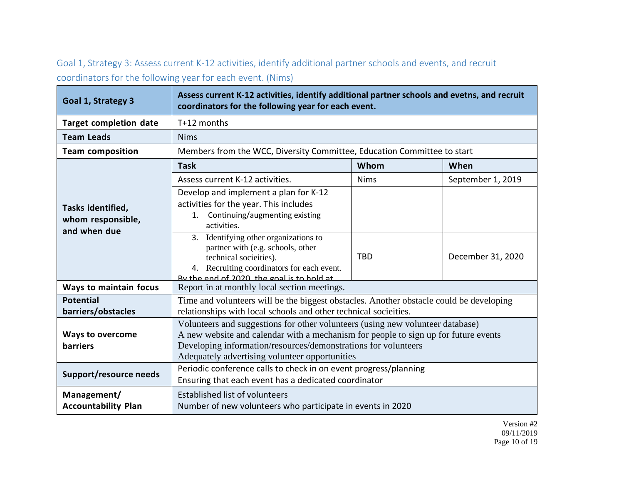Goal 1, Strategy 3: Assess current K-12 activities, identify additional partner schools and events, and recruit coordinators for the following year for each event. (Nims)

| Goal 1, Strategy 3                                     | Assess current K-12 activities, identify additional partner schools and evetns, and recruit<br>coordinators for the following year for each event.                                                                                                                                        |             |                   |
|--------------------------------------------------------|-------------------------------------------------------------------------------------------------------------------------------------------------------------------------------------------------------------------------------------------------------------------------------------------|-------------|-------------------|
| <b>Target completion date</b>                          | T+12 months                                                                                                                                                                                                                                                                               |             |                   |
| <b>Team Leads</b>                                      | <b>Nims</b>                                                                                                                                                                                                                                                                               |             |                   |
| <b>Team composition</b>                                | Members from the WCC, Diversity Committee, Education Committee to start                                                                                                                                                                                                                   |             |                   |
|                                                        | <b>Task</b>                                                                                                                                                                                                                                                                               | Whom        | When              |
|                                                        | Assess current K-12 activities.                                                                                                                                                                                                                                                           | <b>Nims</b> | September 1, 2019 |
| Tasks identified,<br>whom responsible,<br>and when due | Develop and implement a plan for K-12<br>activities for the year. This includes<br>Continuing/augmenting existing<br>1.<br>activities.                                                                                                                                                    |             |                   |
|                                                        | 3. Identifying other organizations to<br>partner with (e.g. schools, other<br>technical socieities).<br>4. Recruiting coordinators for each event.<br>By the end of 2020 the goal is to hold at                                                                                           | <b>TBD</b>  | December 31, 2020 |
| Ways to maintain focus                                 | Report in at monthly local section meetings.                                                                                                                                                                                                                                              |             |                   |
| <b>Potential</b><br>barriers/obstacles                 | Time and volunteers will be the biggest obstacles. Another obstacle could be developing<br>relationships with local schools and other technical socieities.                                                                                                                               |             |                   |
| <b>Ways to overcome</b><br><b>barriers</b>             | Volunteers and suggestions for other volunteers (using new volunteer database)<br>A new website and calendar with a mechanism for people to sign up for future events<br>Developing information/resources/demonstrations for volunteers<br>Adequately advertising volunteer opportunities |             |                   |
| Support/resource needs                                 | Periodic conference calls to check in on event progress/planning<br>Ensuring that each event has a dedicated coordinator                                                                                                                                                                  |             |                   |
| Management/<br><b>Accountability Plan</b>              | <b>Established list of volunteers</b><br>Number of new volunteers who participate in events in 2020                                                                                                                                                                                       |             |                   |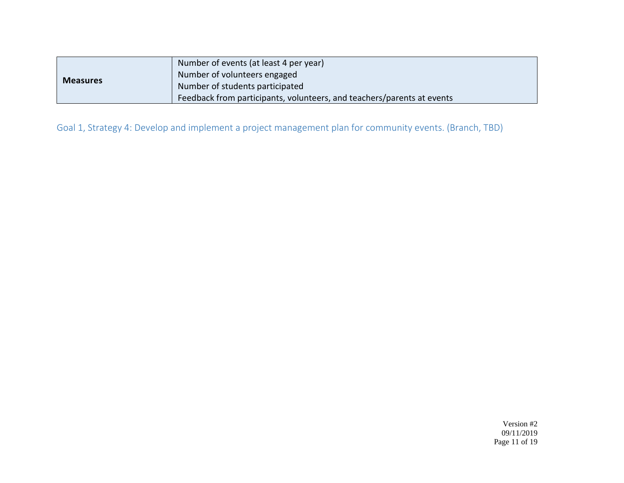| <b>Measures</b> | Number of events (at least 4 per year)                                 |
|-----------------|------------------------------------------------------------------------|
|                 | Number of volunteers engaged                                           |
|                 | Number of students participated                                        |
|                 | Feedback from participants, volunteers, and teachers/parents at events |

Goal 1, Strategy 4: Develop and implement a project management plan for community events. (Branch, TBD)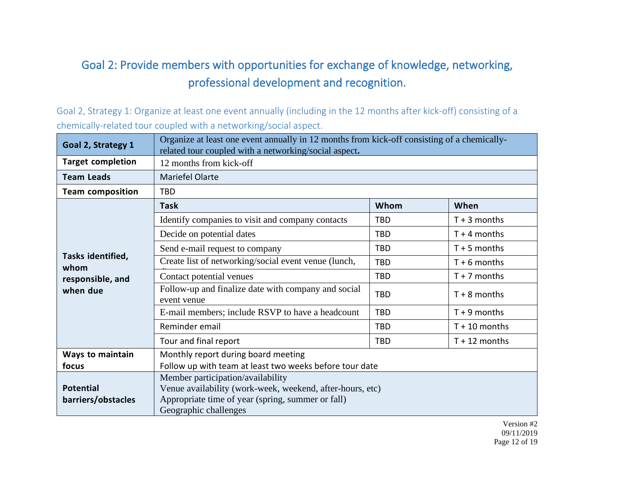# Goal 2: Provide members with opportunities for exchange of knowledge, networking, professional development and recognition.

Goal 2, Strategy 1: Organize at least one event annually (including in the 12 months after kick-off) consisting of a chemically-related tour coupled with a networking/social aspect.

| Goal 2, Strategy 1        | Organize at least one event annually in 12 months from kick-off consisting of a chemically-<br>related tour coupled with a networking/social aspect. |            |                 |
|---------------------------|------------------------------------------------------------------------------------------------------------------------------------------------------|------------|-----------------|
| <b>Target completion</b>  | 12 months from kick-off                                                                                                                              |            |                 |
| <b>Team Leads</b>         | Mariefel Olarte                                                                                                                                      |            |                 |
| <b>Team composition</b>   | <b>TBD</b>                                                                                                                                           |            |                 |
|                           | <b>Task</b>                                                                                                                                          | Whom       | When            |
|                           | Identify companies to visit and company contacts                                                                                                     | <b>TBD</b> | $T + 3$ months  |
|                           | Decide on potential dates                                                                                                                            | <b>TBD</b> | $T + 4$ months  |
|                           | Send e-mail request to company                                                                                                                       | <b>TBD</b> | $T + 5$ months  |
| Tasks identified,<br>whom | Create list of networking/social event venue (lunch,                                                                                                 | <b>TBD</b> | $T + 6$ months  |
| responsible, and          | Contact potential venues                                                                                                                             | <b>TBD</b> | $T + 7$ months  |
| when due                  | Follow-up and finalize date with company and social<br>event venue                                                                                   | <b>TBD</b> | $T + 8$ months  |
|                           | E-mail members; include RSVP to have a headcount                                                                                                     | <b>TBD</b> | $T + 9$ months  |
|                           | Reminder email                                                                                                                                       | <b>TBD</b> | $T + 10$ months |
|                           | Tour and final report                                                                                                                                | <b>TBD</b> | $T + 12$ months |
| <b>Ways to maintain</b>   | Monthly report during board meeting                                                                                                                  |            |                 |
| focus                     | Follow up with team at least two weeks before tour date                                                                                              |            |                 |
|                           | Member participation/availability                                                                                                                    |            |                 |
| <b>Potential</b>          | Venue availability (work-week, weekend, after-hours, etc)                                                                                            |            |                 |
| barriers/obstacles        | Appropriate time of year (spring, summer or fall)                                                                                                    |            |                 |
|                           | Geographic challenges                                                                                                                                |            |                 |

Version #2 09/11/2019 Page 12 of 19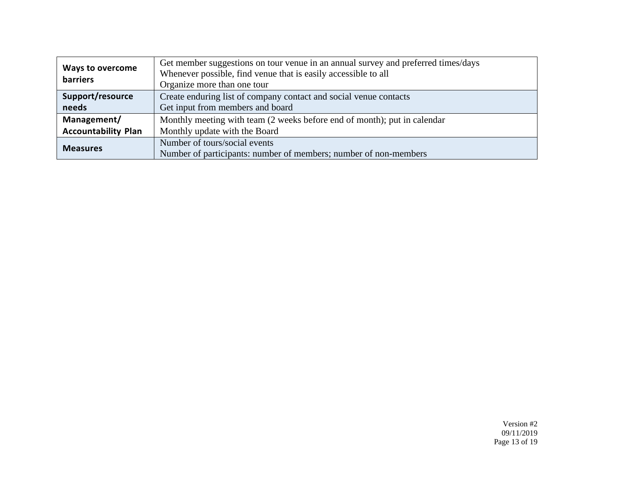| <b>Ways to overcome</b><br>barriers | Get member suggestions on tour venue in an annual survey and preferred times/days<br>Whenever possible, find venue that is easily accessible to all<br>Organize more than one tour |
|-------------------------------------|------------------------------------------------------------------------------------------------------------------------------------------------------------------------------------|
| Support/resource                    | Create enduring list of company contact and social venue contacts                                                                                                                  |
| needs                               | Get input from members and board                                                                                                                                                   |
| Management/                         | Monthly meeting with team (2 weeks before end of month); put in calendar                                                                                                           |
| <b>Accountability Plan</b>          | Monthly update with the Board                                                                                                                                                      |
| <b>Measures</b>                     | Number of tours/social events                                                                                                                                                      |
|                                     | Number of participants: number of members; number of non-members                                                                                                                   |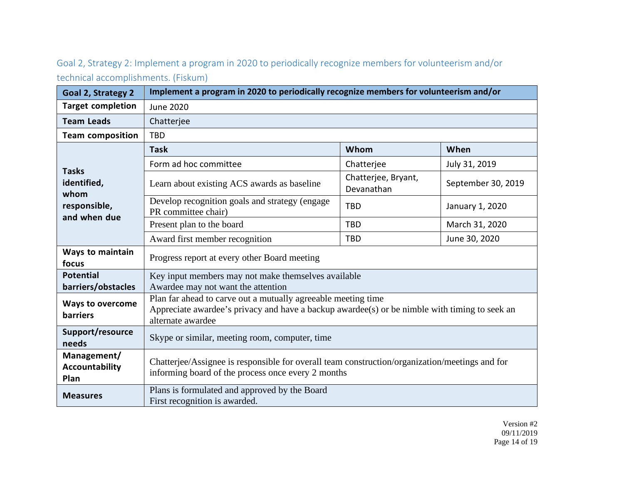Goal 2, Strategy 2: Implement a program in 2020 to periodically recognize members for volunteerism and/or technical accomplishments. (Fiskum)

| Goal 2, Strategy 2                           | Implement a program in 2020 to periodically recognize members for volunteerism and/or                                                                                               |                                   |                    |
|----------------------------------------------|-------------------------------------------------------------------------------------------------------------------------------------------------------------------------------------|-----------------------------------|--------------------|
| <b>Target completion</b>                     | <b>June 2020</b>                                                                                                                                                                    |                                   |                    |
| <b>Team Leads</b>                            | Chatterjee                                                                                                                                                                          |                                   |                    |
| <b>Team composition</b>                      | <b>TBD</b>                                                                                                                                                                          |                                   |                    |
|                                              | <b>Task</b>                                                                                                                                                                         | Whom                              | When               |
| <b>Tasks</b>                                 | Form ad hoc committee                                                                                                                                                               | Chatterjee                        | July 31, 2019      |
| identified,<br>whom                          | Learn about existing ACS awards as baseline                                                                                                                                         | Chatterjee, Bryant,<br>Devanathan | September 30, 2019 |
| responsible,<br>and when due                 | Develop recognition goals and strategy (engage<br>PR committee chair)                                                                                                               | <b>TBD</b>                        | January 1, 2020    |
|                                              | Present plan to the board                                                                                                                                                           | <b>TBD</b>                        | March 31, 2020     |
|                                              | Award first member recognition                                                                                                                                                      | <b>TBD</b>                        | June 30, 2020      |
| <b>Ways to maintain</b><br>focus             | Progress report at every other Board meeting                                                                                                                                        |                                   |                    |
| <b>Potential</b>                             | Key input members may not make themselves available                                                                                                                                 |                                   |                    |
| barriers/obstacles                           | Awardee may not want the attention                                                                                                                                                  |                                   |                    |
| <b>Ways to overcome</b><br><b>barriers</b>   | Plan far ahead to carve out a mutually agreeable meeting time<br>Appreciate awardee's privacy and have a backup awardee(s) or be nimble with timing to seek an<br>alternate awardee |                                   |                    |
| Support/resource<br>needs                    | Skype or similar, meeting room, computer, time                                                                                                                                      |                                   |                    |
| Management/<br><b>Accountability</b><br>Plan | Chatterjee/Assignee is responsible for overall team construction/organization/meetings and for<br>informing board of the process once every 2 months                                |                                   |                    |
| <b>Measures</b>                              | Plans is formulated and approved by the Board<br>First recognition is awarded.                                                                                                      |                                   |                    |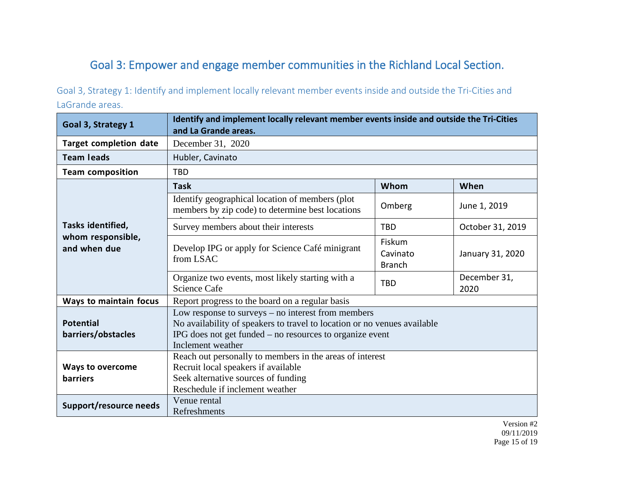# Goal 3: Empower and engage member communities in the Richland Local Section.

Goal 3, Strategy 1: Identify and implement locally relevant member events inside and outside the Tri-Cities and LaGrande areas.

| Goal 3, Strategy 1                         | Identify and implement locally relevant member events inside and outside the Tri-Cities                                                                                                                           |                                     |                      |
|--------------------------------------------|-------------------------------------------------------------------------------------------------------------------------------------------------------------------------------------------------------------------|-------------------------------------|----------------------|
|                                            | and La Grande areas.                                                                                                                                                                                              |                                     |                      |
| <b>Target completion date</b>              | December 31, 2020                                                                                                                                                                                                 |                                     |                      |
| <b>Team leads</b>                          | Hubler, Cavinato                                                                                                                                                                                                  |                                     |                      |
| <b>Team composition</b>                    | <b>TBD</b>                                                                                                                                                                                                        |                                     |                      |
|                                            | <b>Task</b>                                                                                                                                                                                                       | Whom                                | When                 |
|                                            | Identify geographical location of members (plot)<br>members by zip code) to determine best locations                                                                                                              | Omberg                              | June 1, 2019         |
| Tasks identified,                          | Survey members about their interests                                                                                                                                                                              | <b>TBD</b>                          | October 31, 2019     |
| whom responsible,<br>and when due          | Develop IPG or apply for Science Café minigrant<br>from LSAC                                                                                                                                                      | Fiskum<br>Cavinato<br><b>Branch</b> | January 31, 2020     |
|                                            | Organize two events, most likely starting with a<br><b>Science Cafe</b>                                                                                                                                           | <b>TBD</b>                          | December 31,<br>2020 |
| Ways to maintain focus                     | Report progress to the board on a regular basis                                                                                                                                                                   |                                     |                      |
| <b>Potential</b><br>barriers/obstacles     | Low response to surveys $-$ no interest from members<br>No availability of speakers to travel to location or no venues available<br>IPG does not get funded – no resources to organize event<br>Inclement weather |                                     |                      |
| <b>Ways to overcome</b><br><b>barriers</b> | Reach out personally to members in the areas of interest<br>Recruit local speakers if available<br>Seek alternative sources of funding<br>Reschedule if inclement weather                                         |                                     |                      |
| Support/resource needs                     | Venue rental<br>Refreshments                                                                                                                                                                                      |                                     |                      |

Version #2 09/11/2019 Page 15 of 19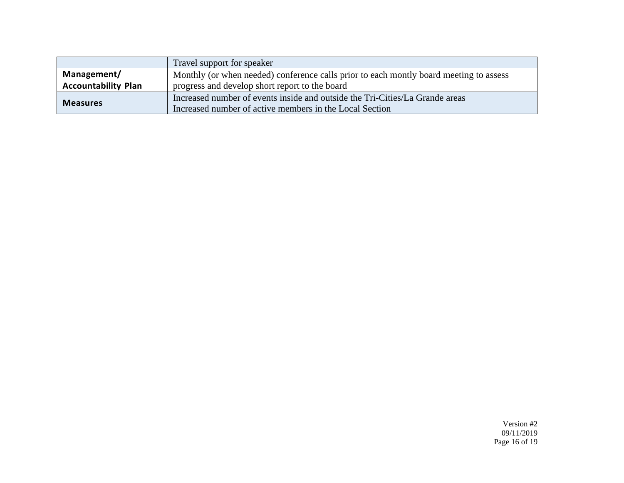|                            | Travel support for speaker                                                             |
|----------------------------|----------------------------------------------------------------------------------------|
| Management/                | Monthly (or when needed) conference calls prior to each montly board meeting to assess |
| <b>Accountability Plan</b> | progress and develop short report to the board                                         |
|                            | Increased number of events inside and outside the Tri-Cities/La Grande areas           |
| <b>Measures</b>            | Increased number of active members in the Local Section                                |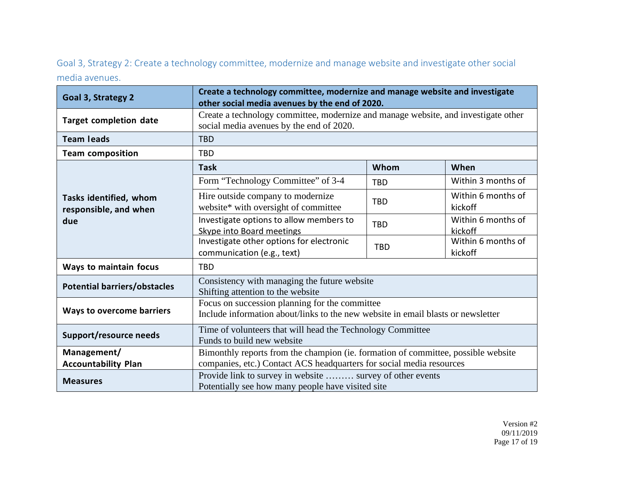Goal 3, Strategy 2: Create a technology committee, modernize and manage website and investigate other social media avenues.

| Goal 3, Strategy 2                                     | Create a technology committee, modernize and manage website and investigate<br>other social media avenues by the end of 2020.      |            |                               |
|--------------------------------------------------------|------------------------------------------------------------------------------------------------------------------------------------|------------|-------------------------------|
| <b>Target completion date</b>                          | Create a technology committee, modernize and manage website, and investigate other<br>social media avenues by the end of 2020.     |            |                               |
| <b>Team leads</b>                                      | <b>TBD</b>                                                                                                                         |            |                               |
| <b>Team composition</b>                                | <b>TBD</b>                                                                                                                         |            |                               |
| Tasks identified, whom<br>responsible, and when<br>due | <b>Task</b>                                                                                                                        | Whom       | When                          |
|                                                        | Form "Technology Committee" of 3-4                                                                                                 | <b>TBD</b> | Within 3 months of            |
|                                                        | Hire outside company to modernize<br>website* with oversight of committee                                                          | <b>TBD</b> | Within 6 months of<br>kickoff |
|                                                        | Investigate options to allow members to<br>Skype into Board meetings                                                               | <b>TBD</b> | Within 6 months of<br>kickoff |
|                                                        | Investigate other options for electronic<br>communication (e.g., text)                                                             | <b>TBD</b> | Within 6 months of<br>kickoff |
| Ways to maintain focus                                 | <b>TBD</b>                                                                                                                         |            |                               |
| <b>Potential barriers/obstacles</b>                    | Consistency with managing the future website<br>Shifting attention to the website                                                  |            |                               |
| <b>Ways to overcome barriers</b>                       | Focus on succession planning for the committee<br>Include information about/links to the new website in email blasts or newsletter |            |                               |
| Support/resource needs                                 | Time of volunteers that will head the Technology Committee<br>Funds to build new website                                           |            |                               |
| Management/                                            | Bimonthly reports from the champion (ie. formation of committee, possible website                                                  |            |                               |
| <b>Accountability Plan</b>                             | companies, etc.) Contact ACS headquarters for social media resources                                                               |            |                               |
| <b>Measures</b>                                        | Provide link to survey in website  survey of other events<br>Potentially see how many people have visited site                     |            |                               |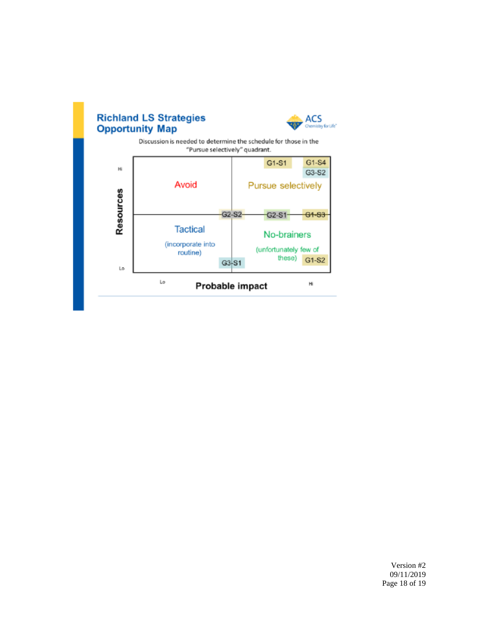

### Version #2 09/11/2019 Page 18 of 19